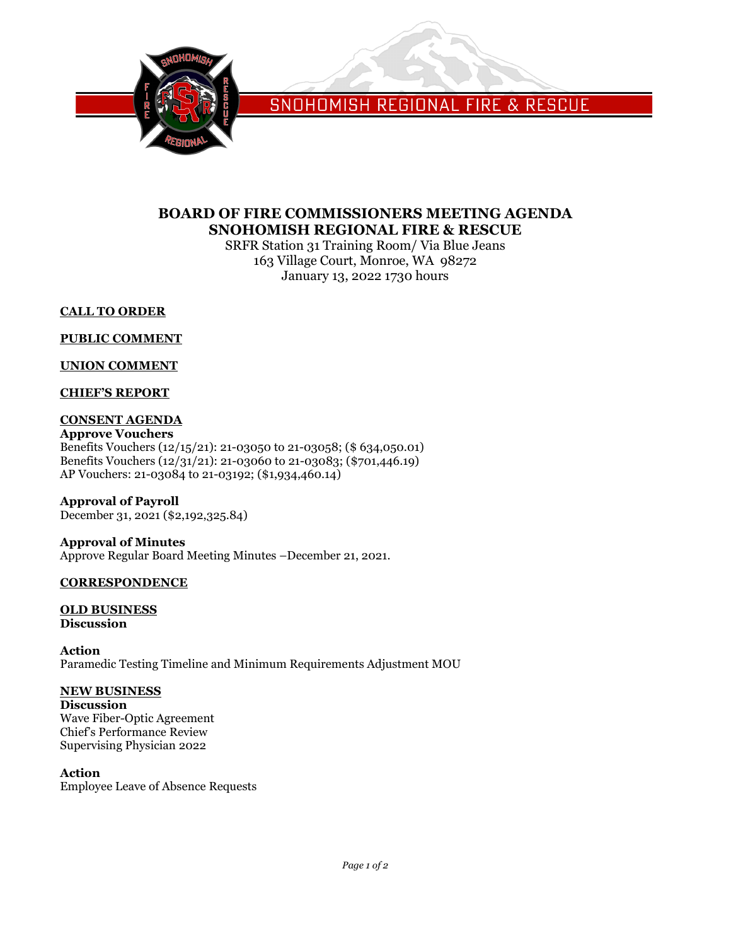

SNOHOMISH REGIONAL FIRE & RESCUE

## **BOARD OF FIRE COMMISSIONERS MEETING AGENDA SNOHOMISH REGIONAL FIRE & RESCUE**

SRFR Station 31 Training Room/ Via Blue Jeans 163 Village Court, Monroe, WA 98272 January 13, 2022 1730 hours

**CALL TO ORDER**

**PUBLIC COMMENT**

**UNION COMMENT**

### **CHIEF'S REPORT**

## **CONSENT AGENDA**

**Approve Vouchers** Benefits Vouchers (12/15/21): 21-03050 to 21-03058; (\$ 634,050.01) Benefits Vouchers (12/31/21): 21-03060 to 21-03083; (\$701,446.19) AP Vouchers: 21-03084 to 21-03192; (\$1,934,460.14)

**Approval of Payroll**

December 31, 2021 (\$2,192,325.84) **Approval of Minutes**

Approve Regular Board Meeting Minutes –December 21, 2021.

### **CORRESPONDENCE**

**OLD BUSINESS Discussion**

**Action** Paramedic Testing Timeline and Minimum Requirements Adjustment MOU

### **NEW BUSINESS**

**Discussion** Wave Fiber-Optic Agreement Chief's Performance Review Supervising Physician 2022

**Action**

Employee Leave of Absence Requests